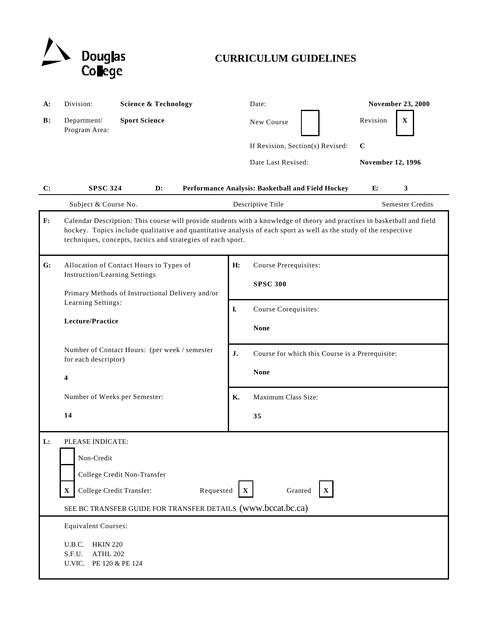

# **CURRICULUM GUIDELINES**

| A:             | Division:                                                                                                                                                                                                                                                                                                    | <b>Science &amp; Technology</b>                                      | Date:                                             | <b>November 23, 2000</b> |
|----------------|--------------------------------------------------------------------------------------------------------------------------------------------------------------------------------------------------------------------------------------------------------------------------------------------------------------|----------------------------------------------------------------------|---------------------------------------------------|--------------------------|
| $\mathbf{B}$ : | Department/<br>Program Area:                                                                                                                                                                                                                                                                                 | <b>Sport Science</b>                                                 | New Course                                        | Revision<br>$\mathbf X$  |
|                |                                                                                                                                                                                                                                                                                                              |                                                                      | If Revision, Section(s) Revised:                  | $\mathbf C$              |
|                |                                                                                                                                                                                                                                                                                                              |                                                                      | Date Last Revised:                                | <b>November 12, 1996</b> |
| C:             | <b>SPSC 324</b>                                                                                                                                                                                                                                                                                              | $\mathbf{D}$ :                                                       | Performance Analysis: Basketball and Field Hockey | 3<br>E:                  |
|                | Subject & Course No.                                                                                                                                                                                                                                                                                         |                                                                      | Descriptive Title                                 | <b>Semester Credits</b>  |
| F:             | Calendar Description: This course will provide students with a knowledge of theory and practises in basketball and field<br>hockey. Topics include qualitative and quantitative analysis of each sport as well as the study of the respective<br>techniques, concepts, tactics and strategies of each sport. |                                                                      |                                                   |                          |
| G:             | Allocation of Contact Hours to Types of<br><b>Instruction/Learning Settings</b><br>Primary Methods of Instructional Delivery and/or                                                                                                                                                                          |                                                                      | H:<br>Course Prerequisites:<br><b>SPSC 300</b>    |                          |
|                | Learning Settings:<br>Lecture/Practice                                                                                                                                                                                                                                                                       |                                                                      | I.<br>Course Corequisites:<br><b>None</b>         |                          |
|                | Number of Contact Hours: (per week / semester<br>for each descriptor)<br>4                                                                                                                                                                                                                                   | J.<br>Course for which this Course is a Prerequisite:<br><b>None</b> |                                                   |                          |
|                | Number of Weeks per Semester:                                                                                                                                                                                                                                                                                |                                                                      | Maximum Class Size:<br><b>K.</b>                  |                          |
|                | 14                                                                                                                                                                                                                                                                                                           |                                                                      | 35                                                |                          |
| L:             | PLEASE INDICATE:<br>Non-Credit<br>College Credit Non-Transfer<br>College Credit Transfer:<br>Requested<br>Granted<br>$\mathbf X$<br>$\mathbf{X}$<br>X<br>SEE BC TRANSFER GUIDE FOR TRANSFER DETAILS (www.bccat.bc.ca)                                                                                        |                                                                      |                                                   |                          |
|                | <b>Equivalent Courses:</b><br>U.B.C.<br><b>HKIN 220</b><br>S.F.U.<br>ATHL 202<br>U.VIC.                                                                                                                                                                                                                      | PE 120 & PE 124                                                      |                                                   |                          |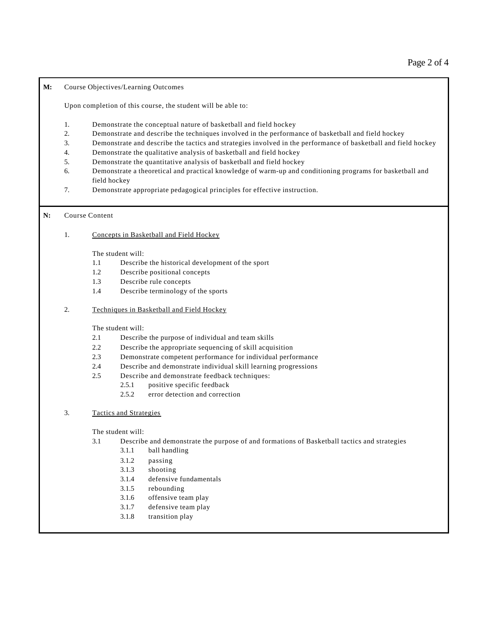#### **M:** Course Objectives/Learning Outcomes

Upon completion of this course, the student will be able to:

- 1. Demonstrate the conceptual nature of basketball and field hockey
- 2. Demonstrate and describe the techniques involved in the performance of basketball and field hockey
- 3. Demonstrate and describe the tactics and strategies involved in the performance of basketball and field hockey
- 4. Demonstrate the qualitative analysis of basketball and field hockey
- 5. Demonstrate the quantitative analysis of basketball and field hockey
- 6. Demonstrate a theoretical and practical knowledge of warm-up and conditioning programs for basketball and field hockey
- 7. Demonstrate appropriate pedagogical principles for effective instruction.

## **N:** Course Content

1. Concepts in Basketball and Field Hockey

The student will:

- 1.1 Describe the historical development of the sport
- 1.2 Describe positional concepts
- 1.3 Describe rule concepts
- 1.4 Describe terminology of the sports
- 2. Techniques in Basketball and Field Hockey

The student will:

- 2.1 Describe the purpose of individual and team skills
- 2.2 Describe the appropriate sequencing of skill acquisition
- 2.3 Demonstrate competent performance for individual performance
- 2.4 Describe and demonstrate individual skill learning progressions
- 2.5 Describe and demonstrate feedback techniques:
	- 2.5.1 positive specific feedback
	- 2.5.2 error detection and correction

# 3. Tactics and Strategies

The student will:

- 3.1 Describe and demonstrate the purpose of and formations of Basketball tactics and strategies
	- 3.1.1 ball handling
	- 3.1.2 passing
	- 3.1.3 shooting
	- 3.1.4 defensive fundamentals
	- 3.1.5 rebounding
	- 3.1.6 offensive team play
	- 3.1.7 defensive team play
	- 3.1.8 transition play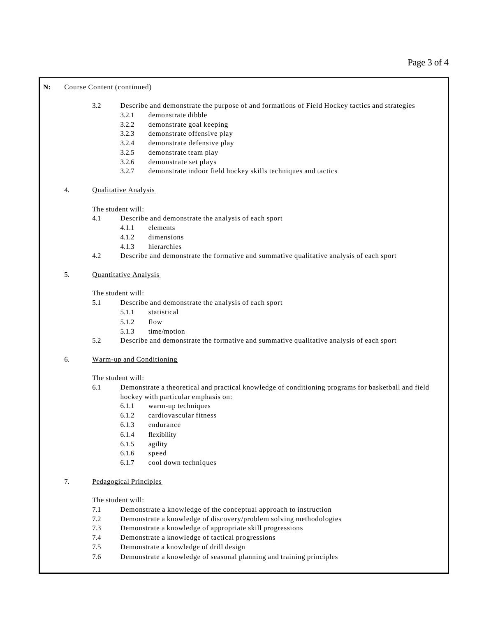### N: Course Content (continued)

3.2 Describe and demonstrate the purpose of and formations of Field Hockey tactics and strategies

- 3.2.1 demonstrate dibble
- 3.2.2 demonstrate goal keeping
- 3.2.3 demonstrate offensive play
- 3.2.4 demonstrate defensive play
- 3.2.5 demonstrate team play
- 3.2.6 demonstrate set plays
- 3.2.7 demonstrate indoor field hockey skills techniques and tactics

## 4. Qualitative Analysis

The student will:

- 4.1 Describe and demonstrate the analysis of each sport
	- 4.1.1 elements
	- 4.1.2 dimensions
	- 4.1.3 hierarchies
- 4.2 Describe and demonstrate the formative and summative qualitative analysis of each sport
- 5. Quantitative Analysis

The student will:

- 5.1 Describe and demonstrate the analysis of each sport
	- 5.1.1 statistical
	- 5.1.2 flow
	- 5.1.3 time/motion
- 5.2 Describe and demonstrate the formative and summative qualitative analysis of each sport

## 6. Warm-up and Conditioning

The student will:

- 6.1 Demonstrate a theoretical and practical knowledge of conditioning programs for basketball and field hockey with particular emphasis on:
	- 6.1.1 warm-up techniques
	- 6.1.2 cardiovascular fitness
	- 6.1.3 endurance
	- 6.1.4 flexibility
	- 6.1.5 agility
	- 6.1.6 speed
	- 6.1.7 cool down techniques
- 7. Pedagogical Principles

The student will:

- 7.1 Demonstrate a knowledge of the conceptual approach to instruction
- 7.2 Demonstrate a knowledge of discovery/problem solving methodologies
- 7.3 Demonstrate a knowledge of appropriate skill progressions
- 7.4 Demonstrate a knowledge of tactical progressions
- 7.5 Demonstrate a knowledge of drill design
- 7.6 Demonstrate a knowledge of seasonal planning and training principles